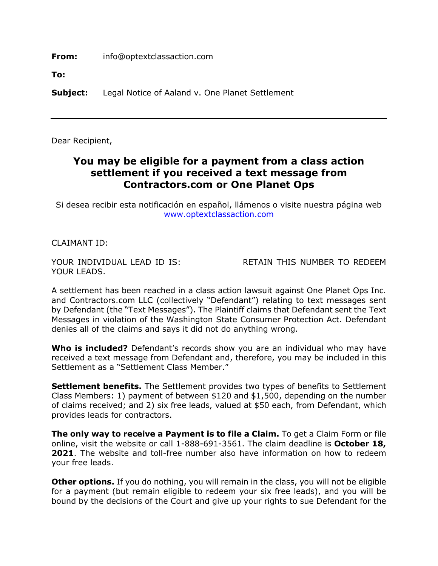**From:** info@optextclassaction.com

**To:**

**Subject:** Legal Notice of Aaland v. One Planet Settlement

Dear Recipient,

## **You may be eligible for a payment from a class action settlement if you received a text message from Contractors.com or One Planet Ops**

Si desea recibir esta notificación en español, llámenos o visite nuestra página web www.optextclassaction.com

CLAIMANT ID:

YOUR LEADS.

YOUR INDIVIDUAL LEAD ID IS: RETAIN THIS NUMBER TO REDEEM

A settlement has been reached in a class action lawsuit against One Planet Ops Inc. and Contractors.com LLC (collectively "Defendant") relating to text messages sent by Defendant (the "Text Messages"). The Plaintiff claims that Defendant sent the Text Messages in violation of the Washington State Consumer Protection Act. Defendant denies all of the claims and says it did not do anything wrong.

**Who is included?** Defendant's records show you are an individual who may have received a text message from Defendant and, therefore, you may be included in this Settlement as a "Settlement Class Member."

**Settlement benefits.** The Settlement provides two types of benefits to Settlement Class Members: 1) payment of between \$120 and \$1,500, depending on the number of claims received; and 2) six free leads, valued at \$50 each, from Defendant, which provides leads for contractors.

**The only way to receive a Payment is to file a Claim.** To get a Claim Form or file online, visit the website or call 1-888-691-3561. The claim deadline is **October 18, 2021**. The website and toll-free number also have information on how to redeem your free leads.

**Other options.** If you do nothing, you will remain in the class, you will not be eligible for a payment (but remain eligible to redeem your six free leads), and you will be bound by the decisions of the Court and give up your rights to sue Defendant for the